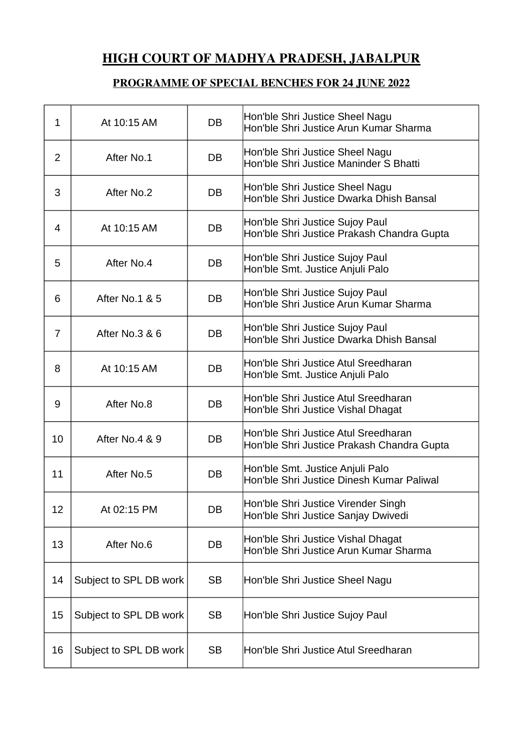## HIGH COURT OF MADHYA PRADESH, JABALPUR

## **PROGRAMME OF SPECIAL BENCHES FOR 24 JUNE 2022**

| 1              | At 10:15 AM            | <b>DB</b> | Hon'ble Shri Justice Sheel Nagu<br>Hon'ble Shri Justice Arun Kumar Sharma          |
|----------------|------------------------|-----------|------------------------------------------------------------------------------------|
| $\overline{2}$ | After No.1             | DB        | Hon'ble Shri Justice Sheel Nagu<br>Hon'ble Shri Justice Maninder S Bhatti          |
| 3              | After No.2             | DB        | Hon'ble Shri Justice Sheel Nagu<br>Hon'ble Shri Justice Dwarka Dhish Bansal        |
| 4              | At 10:15 AM            | <b>DB</b> | Hon'ble Shri Justice Sujoy Paul<br>Hon'ble Shri Justice Prakash Chandra Gupta      |
| 5              | After No.4             | <b>DB</b> | Hon'ble Shri Justice Sujoy Paul<br>Hon'ble Smt. Justice Anjuli Palo                |
| 6              | After No.1 & 5         | DB        | Hon'ble Shri Justice Sujoy Paul<br>Hon'ble Shri Justice Arun Kumar Sharma          |
| 7              | After No.3 & 6         | DB        | Hon'ble Shri Justice Sujoy Paul<br>Hon'ble Shri Justice Dwarka Dhish Bansal        |
| 8              | At 10:15 AM            | DB        | Hon'ble Shri Justice Atul Sreedharan<br>Hon'ble Smt. Justice Anjuli Palo           |
| 9              | After No.8             | DB        | Hon'ble Shri Justice Atul Sreedharan<br>Hon'ble Shri Justice Vishal Dhagat         |
| 10             | After No.4 & 9         | <b>DB</b> | Hon'ble Shri Justice Atul Sreedharan<br>Hon'ble Shri Justice Prakash Chandra Gupta |
| 11             | After No.5             | DB        | Hon'ble Smt. Justice Anjuli Palo<br>Hon'ble Shri Justice Dinesh Kumar Paliwal      |
| 12             | At 02:15 PM            | DB        | Hon'ble Shri Justice Virender Singh<br>Hon'ble Shri Justice Sanjay Dwivedi         |
| 13             | After No.6             | DB        | Hon'ble Shri Justice Vishal Dhagat<br>Hon'ble Shri Justice Arun Kumar Sharma       |
| 14             | Subject to SPL DB work | <b>SB</b> | Hon'ble Shri Justice Sheel Nagu                                                    |
| 15             | Subject to SPL DB work | <b>SB</b> | Hon'ble Shri Justice Sujoy Paul                                                    |
| 16             | Subject to SPL DB work | <b>SB</b> | Hon'ble Shri Justice Atul Sreedharan                                               |